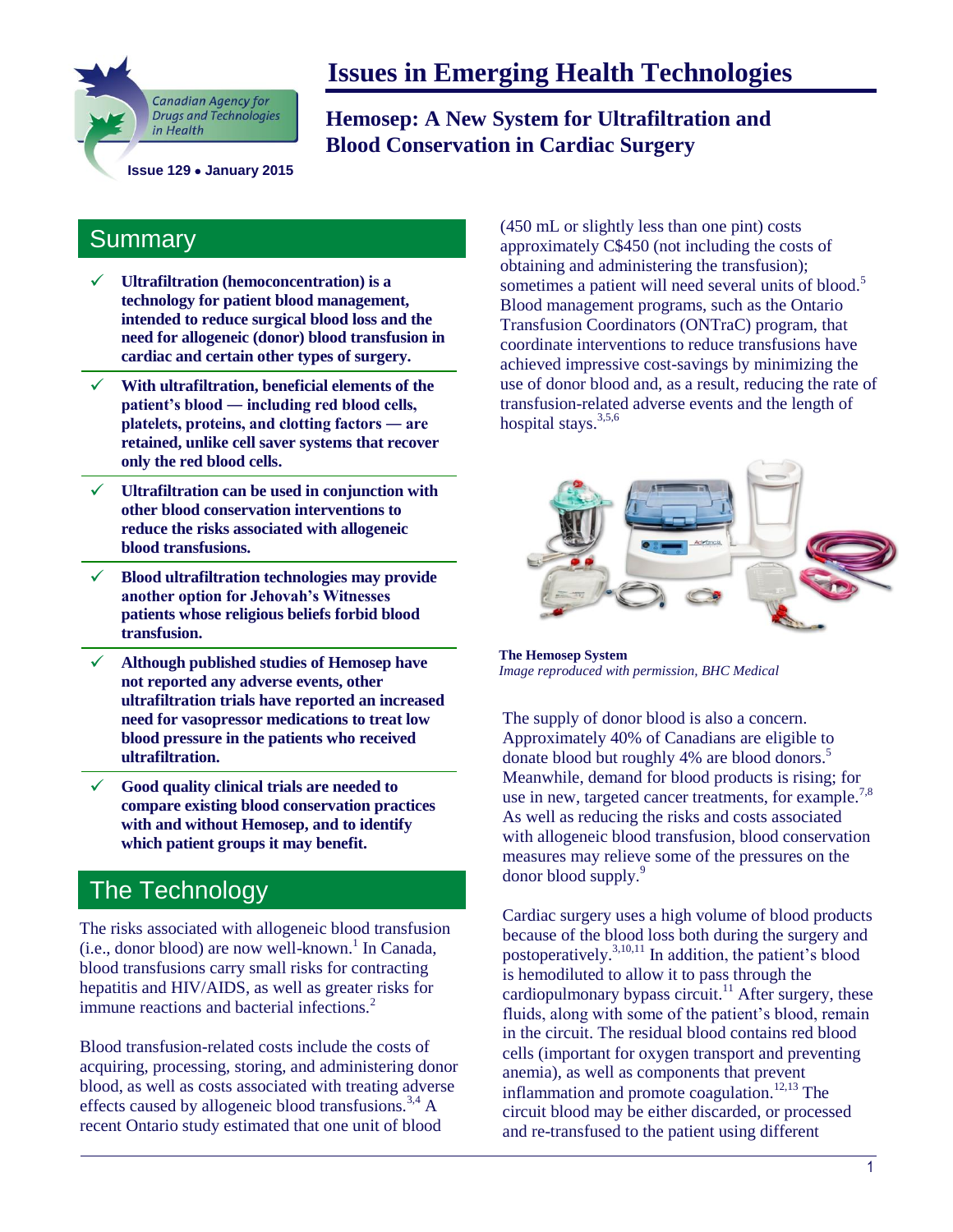

# **Issues in Emerging Health Technologies**

**Hemosep: A New System for Ultrafiltration and Blood Conservation in Cardiac Surgery**

#### **Summary**

- **Ultrafiltration (hemoconcentration) is a technology for patient blood management, intended to reduce surgical blood loss and the need for allogeneic (donor) blood transfusion in cardiac and certain other types of surgery.**
- **With ultrafiltration, beneficial elements of the patient's blood ― including red blood cells, platelets, proteins, and clotting factors ― are retained, unlike cell saver systems that recover only the red blood cells.**
- **Ultrafiltration can be used in conjunction with other blood conservation interventions to reduce the risks associated with allogeneic blood transfusions.**
- **Blood ultrafiltration technologies may provide another option for Jehovah's Witnesses patients whose religious beliefs forbid blood transfusion.**
- **Although published studies of Hemosep have not reported any adverse events, other ultrafiltration trials have reported an increased need for vasopressor medications to treat low blood pressure in the patients who received ultrafiltration.**
- **Good quality clinical trials are needed to compare existing blood conservation practices with and without Hemosep, and to identify which patient groups it may benefit.**

# **The Technology**

The risks associated with allogeneic blood transfusion (i.e., donor blood) are now well-known.<sup>1</sup> In Canada, blood transfusions carry small risks for contracting hepatitis and HIV/AIDS, as well as greater risks for immune reactions and bacterial infections. $<sup>2</sup>$ </sup>

Blood transfusion-related costs include the costs of acquiring, processing, storing, and administering donor blood, as well as costs associated with treating adverse effects caused by allogeneic blood transfusions.<sup>3,4</sup> A recent Ontario study estimated that one unit of blood

(450 mL or slightly less than one pint) costs approximately C\$450 (not including the costs of obtaining and administering the transfusion); sometimes a patient will need several units of blood.<sup>5</sup> Blood management programs, such as the Ontario Transfusion Coordinators (ONTraC) program, that coordinate interventions to reduce transfusions have achieved impressive cost-savings by minimizing the use of donor blood and, as a result, reducing the rate of transfusion-related adverse events and the length of hospital stays.<sup>3,5,6</sup>



**The Hemosep System** *Image reproduced with permission, BHC Medical*

The supply of donor blood is also a concern. Approximately 40% of Canadians are eligible to donate blood but roughly 4% are blood donors.<sup>5</sup> Meanwhile, demand for blood products is rising; for use in new, targeted cancer treatments, for example.<sup>7,8</sup> As well as reducing the risks and costs associated with allogeneic blood transfusion, blood conservation measures may relieve some of the pressures on the donor blood supply.<sup>9</sup>

Cardiac surgery uses a high volume of blood products because of the blood loss both during the surgery and postoperatively.3,10,11 In addition, the patient's blood is hemodiluted to allow it to pass through the cardiopulmonary bypass circuit.<sup>11</sup> After surgery, these fluids, along with some of the patient's blood, remain in the circuit. The residual blood contains red blood cells (important for oxygen transport and preventing anemia), as well as components that prevent inflammation and promote coagulation.<sup>12,13</sup> The circuit blood may be either discarded, or processed and re-transfused to the patient using different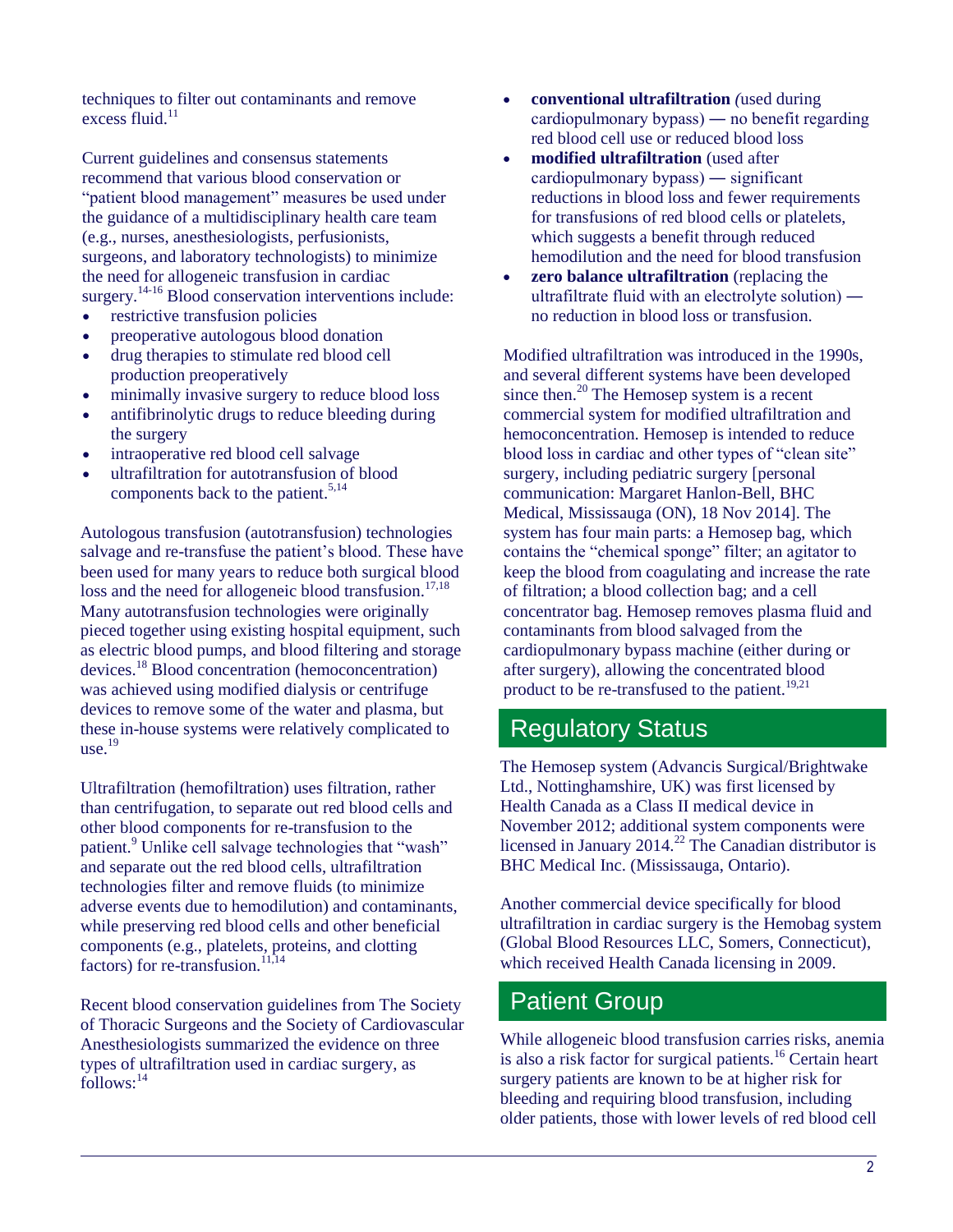techniques to filter out contaminants and remove excess  $\overline{\text{fluid}}$ .<sup>11</sup>

Current guidelines and consensus statements recommend that various blood conservation or "patient blood management" measures be used under the guidance of a multidisciplinary health care team (e.g., nurses, anesthesiologists, perfusionists, surgeons, and laboratory technologists) to minimize the need for allogeneic transfusion in cardiac surgery.<sup>14-16</sup> Blood conservation interventions include:

- restrictive transfusion policies
- preoperative autologous blood donation
- drug therapies to stimulate red blood cell production preoperatively
- minimally invasive surgery to reduce blood loss
- antifibrinolytic drugs to reduce bleeding during the surgery
- intraoperative red blood cell salvage
- ultrafiltration for autotransfusion of blood components back to the patient.<sup>5,14</sup>

Autologous transfusion (autotransfusion) technologies salvage and re-transfuse the patient's blood. These have been used for many years to reduce both surgical blood loss and the need for allogeneic blood transfusion.<sup>17,18</sup> Many autotransfusion technologies were originally pieced together using existing hospital equipment, such as electric blood pumps, and blood filtering and storage devices.<sup>18</sup> Blood concentration (hemoconcentration) was achieved using modified dialysis or centrifuge devices to remove some of the water and plasma, but these in-house systems were relatively complicated to use. $19$ 

Ultrafiltration (hemofiltration) uses filtration, rather than centrifugation, to separate out red blood cells and other blood components for re-transfusion to the patient.<sup>9</sup> Unlike cell salvage technologies that "wash" and separate out the red blood cells, ultrafiltration technologies filter and remove fluids (to minimize adverse events due to hemodilution) and contaminants, while preserving red blood cells and other beneficial components (e.g., platelets, proteins, and clotting factors) for re-transfusion. $11,14$ 

Recent blood conservation guidelines from The Society of Thoracic Surgeons and the Society of Cardiovascular Anesthesiologists summarized the evidence on three types of ultrafiltration used in cardiac surgery, as follows:<sup>14</sup>

- **conventional ultrafiltration** *(*used during cardiopulmonary bypass) ― no benefit regarding red blood cell use or reduced blood loss
- **modified ultrafiltration** (used after cardiopulmonary bypass) ― significant reductions in blood loss and fewer requirements for transfusions of red blood cells or platelets, which suggests a benefit through reduced hemodilution and the need for blood transfusion
- **zero balance ultrafiltration** (replacing the ultrafiltrate fluid with an electrolyte solution) ― no reduction in blood loss or transfusion.

Modified ultrafiltration was introduced in the 1990s, and several different systems have been developed since then.<sup>20</sup> The Hemosep system is a recent commercial system for modified ultrafiltration and hemoconcentration. Hemosep is intended to reduce blood loss in cardiac and other types of "clean site" surgery, including pediatric surgery [personal communication: Margaret Hanlon-Bell, BHC Medical, Mississauga (ON), 18 Nov 2014]. The system has four main parts: a Hemosep bag, which contains the "chemical sponge" filter; an agitator to keep the blood from coagulating and increase the rate of filtration; a blood collection bag; and a cell concentrator bag. Hemosep removes plasma fluid and contaminants from blood salvaged from the cardiopulmonary bypass machine (either during or after surgery), allowing the concentrated blood product to be re-transfused to the patient.<sup>19,21</sup>

## Regulatory Status

The Hemosep system (Advancis Surgical/Brightwake Ltd., Nottinghamshire, UK) was first licensed by Health Canada as a Class II medical device in November 2012; additional system components were licensed in January 2014.<sup>22</sup> The Canadian distributor is BHC Medical Inc. (Mississauga, Ontario).

Another commercial device specifically for blood ultrafiltration in cardiac surgery is the Hemobag system (Global Blood Resources LLC, Somers, Connecticut), which received Health Canada licensing in 2009.

## Patient Group

While allogeneic blood transfusion carries risks, anemia is also a risk factor for surgical patients.<sup>16</sup> Certain heart surgery patients are known to be at higher risk for bleeding and requiring blood transfusion, including older patients, those with lower levels of red blood cell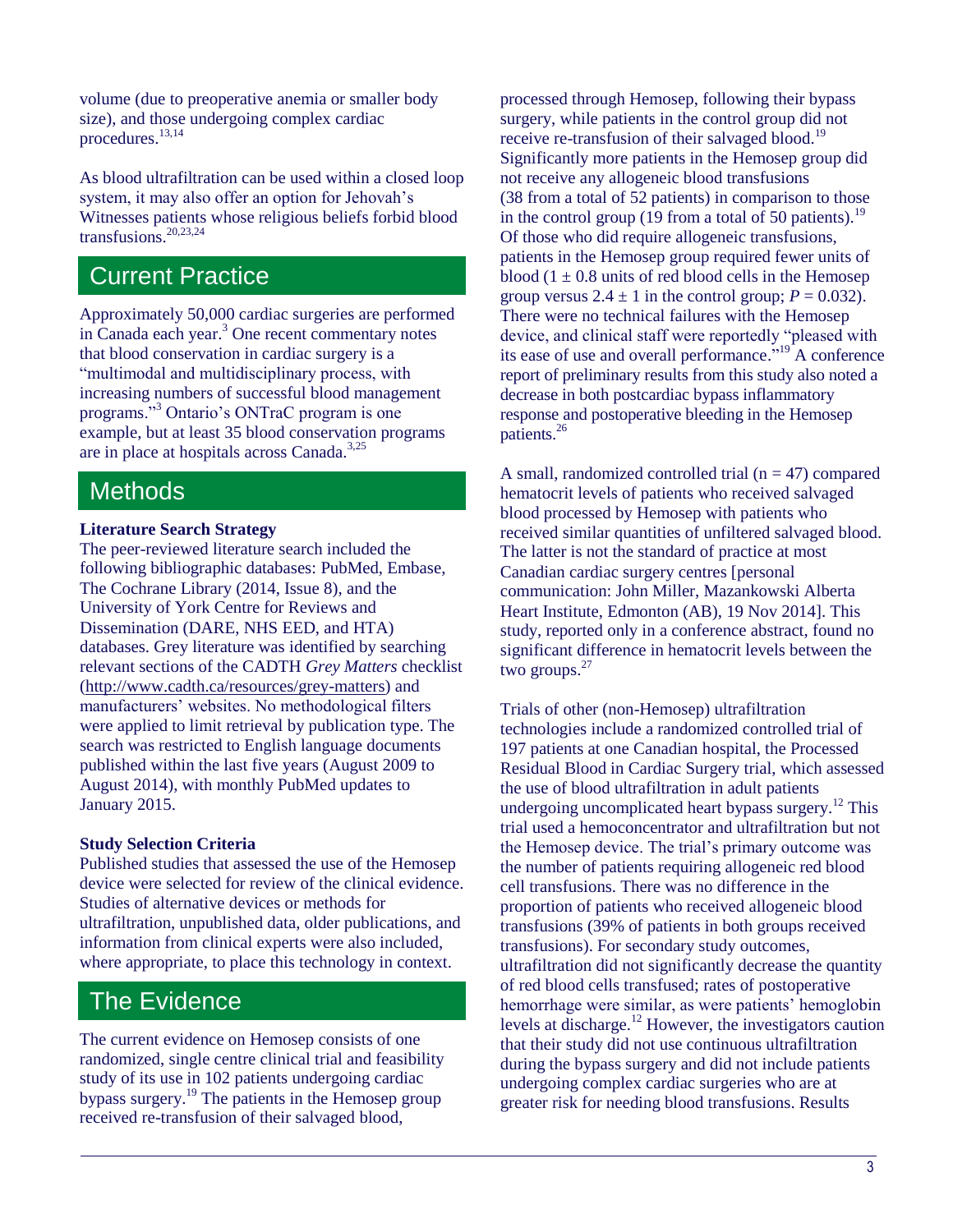volume (due to preoperative anemia or smaller body size), and those undergoing complex cardiac procedures.<sup>13,14</sup>

As blood ultrafiltration can be used within a closed loop system, it may also offer an option for Jehovah's Witnesses patients whose religious beliefs forbid blood transfusions.20,23,24

#### Current Practice

Approximately 50,000 cardiac surgeries are performed in Canada each year.<sup>3</sup> One recent commentary notes that blood conservation in cardiac surgery is a "multimodal and multidisciplinary process, with increasing numbers of successful blood management programs."<sup>3</sup> Ontario's ONTraC program is one example, but at least 35 blood conservation programs are in place at hospitals across Canada.<sup>3,25</sup>

#### **Methods**

#### **Literature Search Strategy**

The peer-reviewed literature search included the following bibliographic databases: PubMed, Embase, The Cochrane Library (2014, Issue 8), and the University of York Centre for Reviews and Dissemination (DARE, NHS EED, and HTA) databases. Grey literature was identified by searching relevant sections of the CADTH *Grey Matters* checklist [\(http://www.cadth.ca/resources/grey-matters\)](http://www.cadth.ca/resources/grey-matters) and manufacturers' websites. No methodological filters were applied to limit retrieval by publication type. The search was restricted to English language documents published within the last five years (August 2009 to August 2014), with monthly PubMed updates to January 2015.

#### **Study Selection Criteria**

Published studies that assessed the use of the Hemosep device were selected for review of the clinical evidence. Studies of alternative devices or methods for ultrafiltration, unpublished data, older publications, and information from clinical experts were also included, where appropriate, to place this technology in context.

#### The Evidence

The current evidence on Hemosep consists of one randomized, single centre clinical trial and feasibility study of its use in 102 patients undergoing cardiac bypass surgery.<sup>19</sup> The patients in the Hemosep group received re-transfusion of their salvaged blood,

processed through Hemosep, following their bypass surgery, while patients in the control group did not receive re-transfusion of their salvaged blood.<sup>19</sup> Significantly more patients in the Hemosep group did not receive any allogeneic blood transfusions (38 from a total of 52 patients) in comparison to those in the control group (19 from a total of 50 patients).<sup>19</sup> Of those who did require allogeneic transfusions, patients in the Hemosep group required fewer units of blood  $(1 \pm 0.8)$  units of red blood cells in the Hemosep group versus  $2.4 \pm 1$  in the control group;  $P = 0.032$ ). There were no technical failures with the Hemosep device, and clinical staff were reportedly "pleased with its ease of use and overall performance."<sup>19</sup> A conference report of preliminary results from this study also noted a decrease in both postcardiac bypass inflammatory response and postoperative bleeding in the Hemosep patients.<sup>26</sup>

A small, randomized controlled trial ( $n = 47$ ) compared hematocrit levels of patients who received salvaged blood processed by Hemosep with patients who received similar quantities of unfiltered salvaged blood. The latter is not the standard of practice at most Canadian cardiac surgery centres [personal communication: John Miller, Mazankowski Alberta Heart Institute, Edmonton (AB), 19 Nov 2014]. This study, reported only in a conference abstract, found no significant difference in hematocrit levels between the two groups. $27$ 

Trials of other (non-Hemosep) ultrafiltration technologies include a randomized controlled trial of 197 patients at one Canadian hospital, the Processed Residual Blood in Cardiac Surgery trial, which assessed the use of blood ultrafiltration in adult patients undergoing uncomplicated heart bypass surgery.<sup>12</sup> This trial used a hemoconcentrator and ultrafiltration but not the Hemosep device. The trial's primary outcome was the number of patients requiring allogeneic red blood cell transfusions. There was no difference in the proportion of patients who received allogeneic blood transfusions (39% of patients in both groups received transfusions). For secondary study outcomes, ultrafiltration did not significantly decrease the quantity of red blood cells transfused; rates of postoperative hemorrhage were similar, as were patients' hemoglobin levels at discharge.<sup>12</sup> However, the investigators caution that their study did not use continuous ultrafiltration during the bypass surgery and did not include patients undergoing complex cardiac surgeries who are at greater risk for needing blood transfusions. Results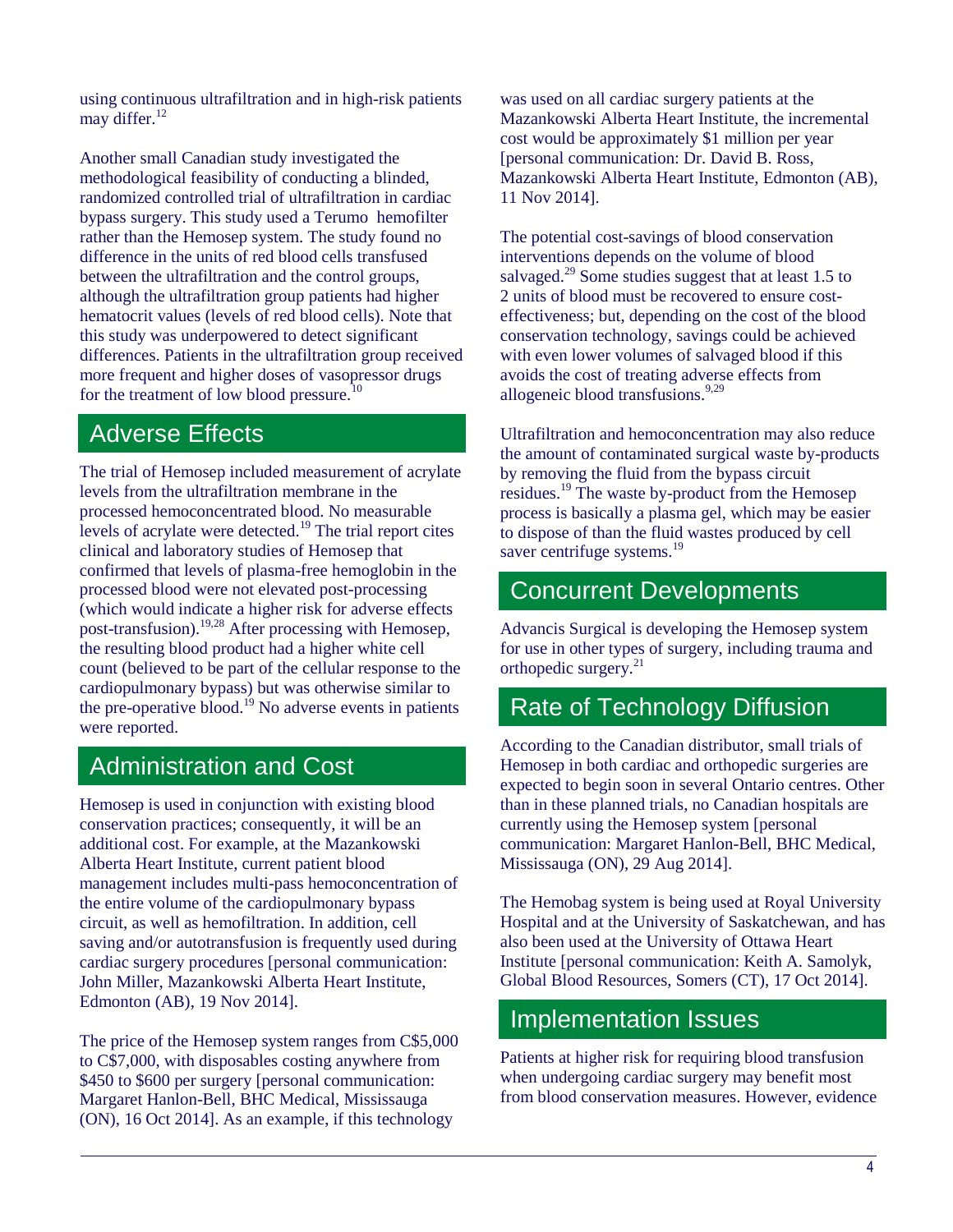using continuous ultrafiltration and in high-risk patients may differ. $12$ 

Another small Canadian study investigated the methodological feasibility of conducting a blinded, randomized controlled trial of ultrafiltration in cardiac bypass surgery. This study used a Terumo hemofilter rather than the Hemosep system. The study found no difference in the units of red blood cells transfused between the ultrafiltration and the control groups, although the ultrafiltration group patients had higher hematocrit values (levels of red blood cells). Note that this study was underpowered to detect significant differences. Patients in the ultrafiltration group received more frequent and higher doses of vasopressor drugs for the treatment of low blood pressure.<sup>10</sup>

#### Adverse Effects

The trial of Hemosep included measurement of acrylate levels from the ultrafiltration membrane in the processed hemoconcentrated blood. No measurable levels of acrylate were detected.<sup>19</sup> The trial report cites clinical and laboratory studies of Hemosep that confirmed that levels of plasma-free hemoglobin in the processed blood were not elevated post-processing (which would indicate a higher risk for adverse effects post-transfusion).19,28 After processing with Hemosep, the resulting blood product had a higher white cell count (believed to be part of the cellular response to the cardiopulmonary bypass) but was otherwise similar to the pre-operative blood.<sup>19</sup> No adverse events in patients were reported.

## Administration and Cost

Hemosep is used in conjunction with existing blood conservation practices; consequently, it will be an additional cost. For example, at the Mazankowski Alberta Heart Institute, current patient blood management includes multi-pass hemoconcentration of the entire volume of the cardiopulmonary bypass circuit, as well as hemofiltration. In addition, cell saving and/or autotransfusion is frequently used during cardiac surgery procedures [personal communication: John Miller, Mazankowski Alberta Heart Institute, Edmonton (AB), 19 Nov 2014].

The price of the Hemosep system ranges from C\$5,000 to C\$7,000, with disposables costing anywhere from \$450 to \$600 per surgery [personal communication: Margaret Hanlon-Bell, BHC Medical, Mississauga (ON), 16 Oct 2014]. As an example, if this technology

was used on all cardiac surgery patients at the Mazankowski Alberta Heart Institute, the incremental cost would be approximately \$1 million per year [personal communication: Dr. David B. Ross, Mazankowski Alberta Heart Institute, Edmonton (AB), 11 Nov 2014].

The potential cost-savings of blood conservation interventions depends on the volume of blood salvaged.<sup>29</sup> Some studies suggest that at least 1.5 to 2 units of blood must be recovered to ensure costeffectiveness; but, depending on the cost of the blood conservation technology, savings could be achieved with even lower volumes of salvaged blood if this avoids the cost of treating adverse effects from allogeneic blood transfusions.<sup>9,29</sup>

Ultrafiltration and hemoconcentration may also reduce the amount of contaminated surgical waste by-products by removing the fluid from the bypass circuit residues.<sup>19</sup> The waste by-product from the Hemosep process is basically a plasma gel, which may be easier to dispose of than the fluid wastes produced by cell saver centrifuge systems.<sup>19</sup>

# Concurrent Developments

Advancis Surgical is developing the Hemosep system for use in other types of surgery, including trauma and orthopedic surgery.<sup>21</sup>

## Rate of Technology Diffusion

According to the Canadian distributor, small trials of Hemosep in both cardiac and orthopedic surgeries are expected to begin soon in several Ontario centres. Other than in these planned trials, no Canadian hospitals are currently using the Hemosep system [personal communication: Margaret Hanlon-Bell, BHC Medical, Mississauga (ON), 29 Aug 2014].

The Hemobag system is being used at Royal University Hospital and at the University of Saskatchewan, and has also been used at the University of Ottawa Heart Institute [personal communication: Keith A. Samolyk, Global Blood Resources, Somers (CT), 17 Oct 2014].

## Implementation Issues

Patients at higher risk for requiring blood transfusion when undergoing cardiac surgery may benefit most from blood conservation measures. However, evidence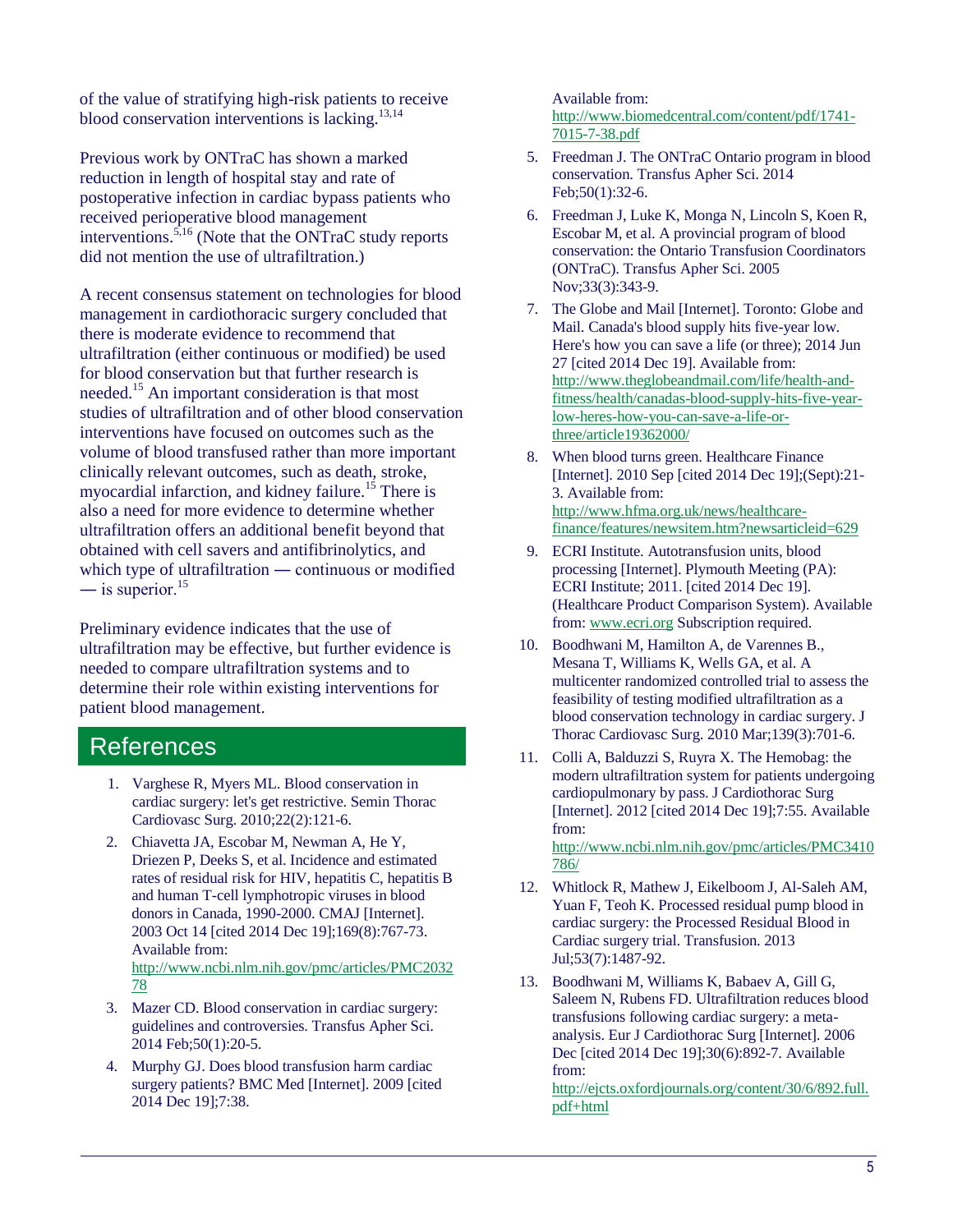of the value of stratifying high-risk patients to receive blood conservation interventions is lacking. $^{13,14}$ 

Previous work by ONTraC has shown a marked reduction in length of hospital stay and rate of postoperative infection in cardiac bypass patients who received perioperative blood management interventions.5,16 (Note that the ONTraC study reports did not mention the use of ultrafiltration.)

A recent consensus statement on technologies for blood management in cardiothoracic surgery concluded that there is moderate evidence to recommend that ultrafiltration (either continuous or modified) be used for blood conservation but that further research is needed.<sup>15</sup> An important consideration is that most studies of ultrafiltration and of other blood conservation interventions have focused on outcomes such as the volume of blood transfused rather than more important clinically relevant outcomes, such as death, stroke, myocardial infarction, and kidney failure.<sup>15</sup> There is also a need for more evidence to determine whether ultrafiltration offers an additional benefit beyond that obtained with cell savers and antifibrinolytics, and which type of ultrafiltration — continuous or modified — is superior.<sup>15</sup>

Preliminary evidence indicates that the use of ultrafiltration may be effective, but further evidence is needed to compare ultrafiltration systems and to determine their role within existing interventions for patient blood management.

#### **References**

- 1. Varghese R, Myers ML. Blood conservation in cardiac surgery: let's get restrictive. Semin Thorac Cardiovasc Surg. 2010;22(2):121-6.
- 2. Chiavetta JA, Escobar M, Newman A, He Y, Driezen P, Deeks S, et al. Incidence and estimated rates of residual risk for HIV, hepatitis C, hepatitis B and human T-cell lymphotropic viruses in blood donors in Canada, 1990-2000. CMAJ [Internet]. 2003 Oct 14 [cited 2014 Dec 19];169(8):767-73. Available from: [http://www.ncbi.nlm.nih.gov/pmc/articles/PMC2032](http://www.ncbi.nlm.nih.gov/pmc/articles/PMC203278) [78](http://www.ncbi.nlm.nih.gov/pmc/articles/PMC203278)
- 3. Mazer CD. Blood conservation in cardiac surgery: guidelines and controversies. Transfus Apher Sci. 2014 Feb;50(1):20-5.
- 4. Murphy GJ. Does blood transfusion harm cardiac surgery patients? BMC Med [Internet]. 2009 [cited 2014 Dec 19];7:38.

Available from: [http://www.biomedcentral.com/content/pdf/1741-](http://www.biomedcentral.com/content/pdf/1741-7015-7-38.pdf) [7015-7-38.pdf](http://www.biomedcentral.com/content/pdf/1741-7015-7-38.pdf)

- 5. Freedman J. The ONTraC Ontario program in blood conservation. Transfus Apher Sci. 2014 Feb;50(1):32-6.
- 6. Freedman J, Luke K, Monga N, Lincoln S, Koen R, Escobar M, et al. A provincial program of blood conservation: the Ontario Transfusion Coordinators (ONTraC). Transfus Apher Sci. 2005 Nov;33(3):343-9.
- 7. The Globe and Mail [Internet]. Toronto: Globe and Mail. Canada's blood supply hits five-year low. Here's how you can save a life (or three); 2014 Jun 27 [cited 2014 Dec 19]. Available from: [http://www.theglobeandmail.com/life/health-and](http://www.theglobeandmail.com/life/health-and-fitness/health/canadas-blood-supply-hits-five-year-low-heres-how-you-can-save-a-life-or-three/article19362000/)[fitness/health/canadas-blood-supply-hits-five-year](http://www.theglobeandmail.com/life/health-and-fitness/health/canadas-blood-supply-hits-five-year-low-heres-how-you-can-save-a-life-or-three/article19362000/)[low-heres-how-you-can-save-a-life-or](http://www.theglobeandmail.com/life/health-and-fitness/health/canadas-blood-supply-hits-five-year-low-heres-how-you-can-save-a-life-or-three/article19362000/)[three/article19362000/](http://www.theglobeandmail.com/life/health-and-fitness/health/canadas-blood-supply-hits-five-year-low-heres-how-you-can-save-a-life-or-three/article19362000/)
- 8. When blood turns green. Healthcare Finance [Internet]. 2010 Sep [cited 2014 Dec 19];(Sept):21- 3. Available from: [http://www.hfma.org.uk/news/healthcare](http://www.hfma.org.uk/news/healthcare-finance/features/newsitem.htm?newsarticleid=629)[finance/features/newsitem.htm?newsarticleid=629](http://www.hfma.org.uk/news/healthcare-finance/features/newsitem.htm?newsarticleid=629)
- 9. ECRI Institute. Autotransfusion units, blood processing [Internet]. Plymouth Meeting (PA): ECRI Institute; 2011. [cited 2014 Dec 19]. (Healthcare Product Comparison System). Available from: [www.ecri.org](http://www.ecri.org/) Subscription required.
- 10. Boodhwani M, Hamilton A, de Varennes B., Mesana T, Williams K, Wells GA, et al. A multicenter randomized controlled trial to assess the feasibility of testing modified ultrafiltration as a blood conservation technology in cardiac surgery. J Thorac Cardiovasc Surg. 2010 Mar;139(3):701-6.
- 11. Colli A, Balduzzi S, Ruyra X. The Hemobag: the modern ultrafiltration system for patients undergoing cardiopulmonary by pass. J Cardiothorac Surg [Internet]. 2012 [cited 2014 Dec 19];7:55. Available from: [http://www.ncbi.nlm.nih.gov/pmc/articles/PMC3410](http://www.ncbi.nlm.nih.gov/pmc/articles/PMC3410786/) [786/](http://www.ncbi.nlm.nih.gov/pmc/articles/PMC3410786/)
- 12. Whitlock R, Mathew J, Eikelboom J, Al-Saleh AM, Yuan F, Teoh K. Processed residual pump blood in cardiac surgery: the Processed Residual Blood in Cardiac surgery trial. Transfusion. 2013 Jul;53(7):1487-92.
- 13. Boodhwani M, Williams K, Babaev A, Gill G, Saleem N, Rubens FD. Ultrafiltration reduces blood transfusions following cardiac surgery: a metaanalysis. Eur J Cardiothorac Surg [Internet]. 2006 Dec [cited 2014 Dec 19];30(6):892-7. Available from:

[http://ejcts.oxfordjournals.org/content/30/6/892.full.](http://ejcts.oxfordjournals.org/content/30/6/892.full.pdf+html) [pdf+html](http://ejcts.oxfordjournals.org/content/30/6/892.full.pdf+html)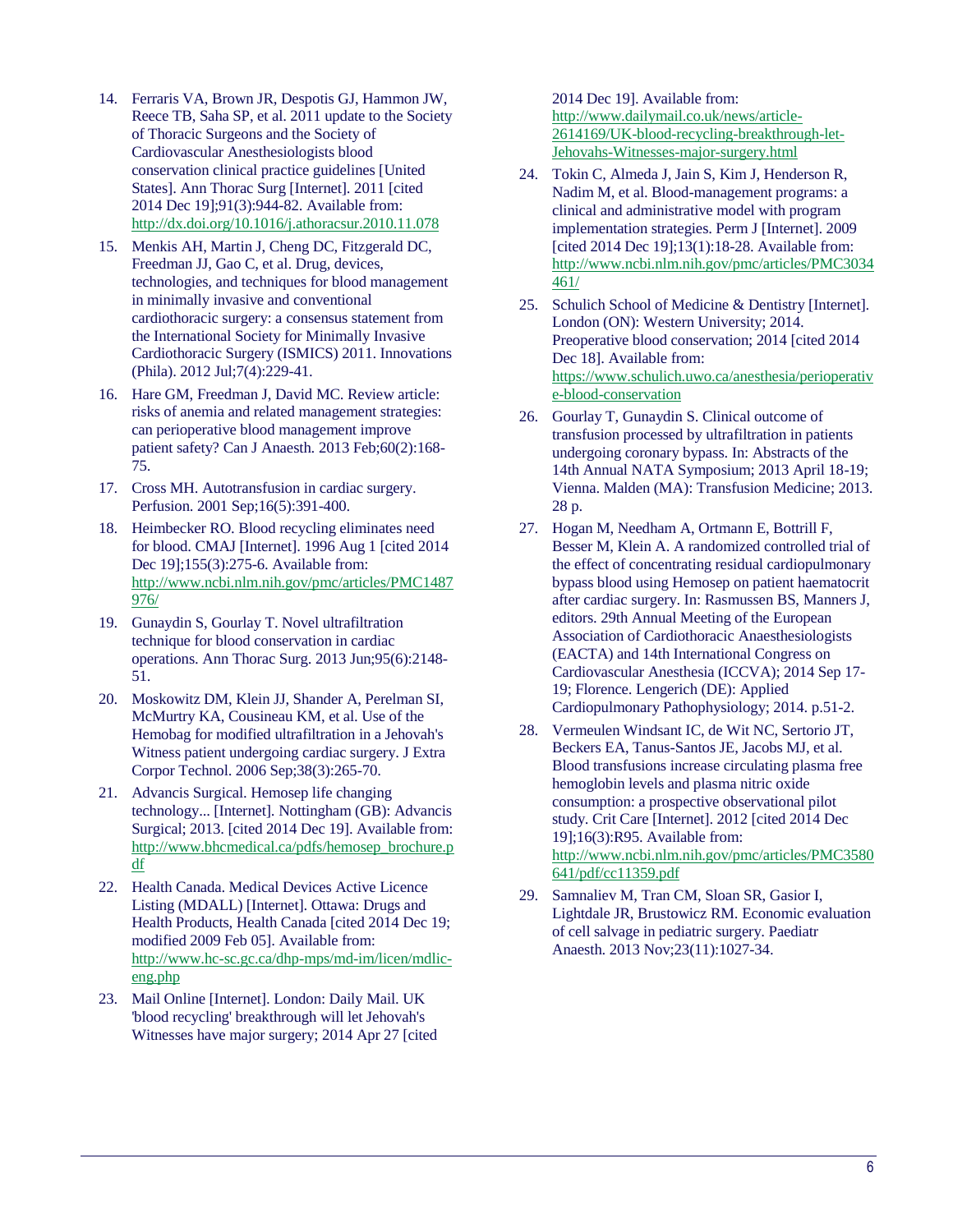- 14. Ferraris VA, Brown JR, Despotis GJ, Hammon JW, Reece TB, Saha SP, et al. 2011 update to the Society of Thoracic Surgeons and the Society of Cardiovascular Anesthesiologists blood conservation clinical practice guidelines [United States]. Ann Thorac Surg [Internet]. 2011 [cited 2014 Dec 19];91(3):944-82. Available from: <http://dx.doi.org/10.1016/j.athoracsur.2010.11.078>
- 15. Menkis AH, Martin J, Cheng DC, Fitzgerald DC, Freedman JJ, Gao C, et al. Drug, devices, technologies, and techniques for blood management in minimally invasive and conventional cardiothoracic surgery: a consensus statement from the International Society for Minimally Invasive Cardiothoracic Surgery (ISMICS) 2011. Innovations (Phila). 2012 Jul;7(4):229-41.
- 16. Hare GM, Freedman J, David MC. Review article: risks of anemia and related management strategies: can perioperative blood management improve patient safety? Can J Anaesth. 2013 Feb;60(2):168- 75.
- 17. Cross MH. Autotransfusion in cardiac surgery. Perfusion. 2001 Sep;16(5):391-400.
- 18. Heimbecker RO. Blood recycling eliminates need for blood. CMAJ [Internet]. 1996 Aug 1 [cited 2014 Dec 19];155(3):275-6. Available from: [http://www.ncbi.nlm.nih.gov/pmc/articles/PMC1487](http://www.ncbi.nlm.nih.gov/pmc/articles/PMC1487976/) [976/](http://www.ncbi.nlm.nih.gov/pmc/articles/PMC1487976/)
- 19. Gunaydin S, Gourlay T. Novel ultrafiltration technique for blood conservation in cardiac operations. Ann Thorac Surg. 2013 Jun;95(6):2148- 51.
- 20. Moskowitz DM, Klein JJ, Shander A, Perelman SI, McMurtry KA, Cousineau KM, et al. Use of the Hemobag for modified ultrafiltration in a Jehovah's Witness patient undergoing cardiac surgery. J Extra Corpor Technol. 2006 Sep;38(3):265-70.
- 21. Advancis Surgical. Hemosep life changing technology... [Internet]. Nottingham (GB): Advancis Surgical; 2013. [cited 2014 Dec 19]. Available from: [http://www.bhcmedical.ca/pdfs/hemosep\\_brochure.p](http://www.bhcmedical.ca/pdfs/hemosep_brochure.pdf) [df](http://www.bhcmedical.ca/pdfs/hemosep_brochure.pdf)
- 22. Health Canada. Medical Devices Active Licence Listing (MDALL) [Internet]. Ottawa: Drugs and Health Products, Health Canada [cited 2014 Dec 19; modified 2009 Feb 05]. Available from: [http://www.hc-sc.gc.ca/dhp-mps/md-im/licen/mdlic](http://www.hc-sc.gc.ca/dhp-mps/md-im/licen/mdlic-eng.php)[eng.php](http://www.hc-sc.gc.ca/dhp-mps/md-im/licen/mdlic-eng.php)
- 23. Mail Online [Internet]. London: Daily Mail. UK 'blood recycling' breakthrough will let Jehovah's Witnesses have major surgery; 2014 Apr 27 [cited

2014 Dec 19]. Available from: [http://www.dailymail.co.uk/news/article-](http://www.dailymail.co.uk/news/article-2614169/UK-blood-recycling-breakthrough-let-Jehovahs-Witnesses-major-surgery.html)[2614169/UK-blood-recycling-breakthrough-let-](http://www.dailymail.co.uk/news/article-2614169/UK-blood-recycling-breakthrough-let-Jehovahs-Witnesses-major-surgery.html)[Jehovahs-Witnesses-major-surgery.html](http://www.dailymail.co.uk/news/article-2614169/UK-blood-recycling-breakthrough-let-Jehovahs-Witnesses-major-surgery.html)

- 24. Tokin C, Almeda J, Jain S, Kim J, Henderson R, Nadim M, et al. Blood-management programs: a clinical and administrative model with program implementation strategies. Perm J [Internet]. 2009 [cited 2014 Dec 19];13(1):18-28. Available from: [http://www.ncbi.nlm.nih.gov/pmc/articles/PMC3034](http://www.ncbi.nlm.nih.gov/pmc/articles/PMC3034461/) [461/](http://www.ncbi.nlm.nih.gov/pmc/articles/PMC3034461/)
- 25. Schulich School of Medicine & Dentistry [Internet]. London (ON): Western University; 2014. Preoperative blood conservation; 2014 [cited 2014 Dec 18]. Available from: [https://www.schulich.uwo.ca/anesthesia/perioperativ](https://www.schulich.uwo.ca/anesthesia/perioperative-blood-conservation) [e-blood-conservation](https://www.schulich.uwo.ca/anesthesia/perioperative-blood-conservation)
- 26. Gourlay T, Gunaydin S. Clinical outcome of transfusion processed by ultrafiltration in patients undergoing coronary bypass. In: Abstracts of the 14th Annual NATA Symposium; 2013 April 18-19; Vienna. Malden (MA): Transfusion Medicine; 2013. 28 p.
- 27. Hogan M, Needham A, Ortmann E, Bottrill F, Besser M, Klein A. A randomized controlled trial of the effect of concentrating residual cardiopulmonary bypass blood using Hemosep on patient haematocrit after cardiac surgery. In: Rasmussen BS, Manners J, editors. 29th Annual Meeting of the European Association of Cardiothoracic Anaesthesiologists (EACTA) and 14th International Congress on Cardiovascular Anesthesia (ICCVA); 2014 Sep 17- 19; Florence. Lengerich (DE): Applied Cardiopulmonary Pathophysiology; 2014. p.51-2.
- 28. Vermeulen Windsant IC, de Wit NC, Sertorio JT, Beckers EA, Tanus-Santos JE, Jacobs MJ, et al. Blood transfusions increase circulating plasma free hemoglobin levels and plasma nitric oxide consumption: a prospective observational pilot study. Crit Care [Internet]. 2012 [cited 2014 Dec 19];16(3):R95. Available from: [http://www.ncbi.nlm.nih.gov/pmc/articles/PMC3580](http://www.ncbi.nlm.nih.gov/pmc/articles/PMC3580641/pdf/cc11359.pdf) [641/pdf/cc11359.pdf](http://www.ncbi.nlm.nih.gov/pmc/articles/PMC3580641/pdf/cc11359.pdf)
- 29. Samnaliev M, Tran CM, Sloan SR, Gasior I, Lightdale JR, Brustowicz RM. Economic evaluation of cell salvage in pediatric surgery. Paediatr Anaesth. 2013 Nov;23(11):1027-34.